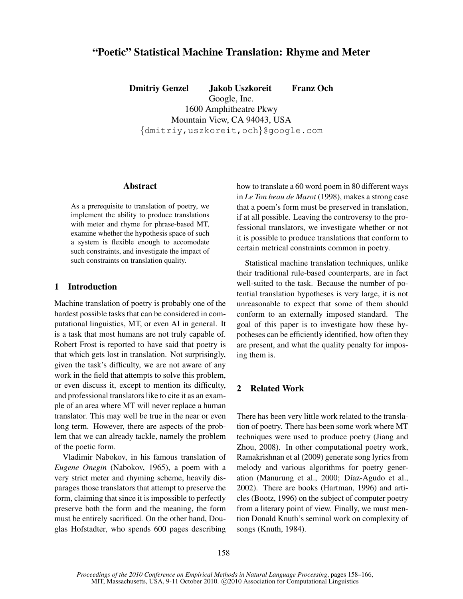# "Poetic" Statistical Machine Translation: Rhyme and Meter

Dmitriy Genzel Jakob Uszkoreit Franz Och Google, Inc. 1600 Amphitheatre Pkwy Mountain View, CA 94043, USA

{dmitriy,uszkoreit,och}@google.com

### Abstract

As a prerequisite to translation of poetry, we implement the ability to produce translations with meter and rhyme for phrase-based MT, examine whether the hypothesis space of such a system is flexible enough to accomodate such constraints, and investigate the impact of such constraints on translation quality.

#### 1 Introduction

Machine translation of poetry is probably one of the hardest possible tasks that can be considered in computational linguistics, MT, or even AI in general. It is a task that most humans are not truly capable of. Robert Frost is reported to have said that poetry is that which gets lost in translation. Not surprisingly, given the task's difficulty, we are not aware of any work in the field that attempts to solve this problem, or even discuss it, except to mention its difficulty, and professional translators like to cite it as an example of an area where MT will never replace a human translator. This may well be true in the near or even long term. However, there are aspects of the problem that we can already tackle, namely the problem of the poetic form.

Vladimir Nabokov, in his famous translation of *Eugene Onegin* (Nabokov, 1965), a poem with a very strict meter and rhyming scheme, heavily disparages those translators that attempt to preserve the form, claiming that since it is impossible to perfectly preserve both the form and the meaning, the form must be entirely sacrificed. On the other hand, Douglas Hofstadter, who spends 600 pages describing how to translate a 60 word poem in 80 different ways in *Le Ton beau de Marot* (1998), makes a strong case that a poem's form must be preserved in translation, if at all possible. Leaving the controversy to the professional translators, we investigate whether or not it is possible to produce translations that conform to certain metrical constraints common in poetry.

Statistical machine translation techniques, unlike their traditional rule-based counterparts, are in fact well-suited to the task. Because the number of potential translation hypotheses is very large, it is not unreasonable to expect that some of them should conform to an externally imposed standard. The goal of this paper is to investigate how these hypotheses can be efficiently identified, how often they are present, and what the quality penalty for imposing them is.

### 2 Related Work

There has been very little work related to the translation of poetry. There has been some work where MT techniques were used to produce poetry (Jiang and Zhou, 2008). In other computational poetry work, Ramakrishnan et al (2009) generate song lyrics from melody and various algorithms for poetry generation (Manurung et al., 2000; Díaz-Agudo et al., 2002). There are books (Hartman, 1996) and articles (Bootz, 1996) on the subject of computer poetry from a literary point of view. Finally, we must mention Donald Knuth's seminal work on complexity of songs (Knuth, 1984).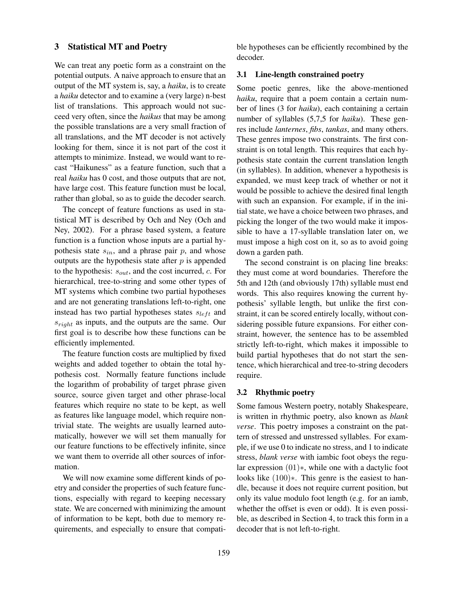### 3 Statistical MT and Poetry

We can treat any poetic form as a constraint on the potential outputs. A naive approach to ensure that an output of the MT system is, say, a *haiku*, is to create a *haiku* detector and to examine a (very large) n-best list of translations. This approach would not succeed very often, since the *haikus* that may be among the possible translations are a very small fraction of all translations, and the MT decoder is not actively looking for them, since it is not part of the cost it attempts to minimize. Instead, we would want to recast "Haikuness" as a feature function, such that a real *haiku* has 0 cost, and those outputs that are not, have large cost. This feature function must be local, rather than global, so as to guide the decoder search.

The concept of feature functions as used in statistical MT is described by Och and Ney (Och and Ney, 2002). For a phrase based system, a feature function is a function whose inputs are a partial hypothesis state  $s_{in}$ , and a phrase pair p, and whose outputs are the hypothesis state after  $p$  is appended to the hypothesis:  $s_{out}$ , and the cost incurred,  $c$ . For hierarchical, tree-to-string and some other types of MT systems which combine two partial hypotheses and are not generating translations left-to-right, one instead has two partial hypotheses states  $s_{left}$  and  $s_{riaht}$  as inputs, and the outputs are the same. Our first goal is to describe how these functions can be efficiently implemented.

The feature function costs are multiplied by fixed weights and added together to obtain the total hypothesis cost. Normally feature functions include the logarithm of probability of target phrase given source, source given target and other phrase-local features which require no state to be kept, as well as features like language model, which require nontrivial state. The weights are usually learned automatically, however we will set them manually for our feature functions to be effectively infinite, since we want them to override all other sources of information.

We will now examine some different kinds of poetry and consider the properties of such feature functions, especially with regard to keeping necessary state. We are concerned with minimizing the amount of information to be kept, both due to memory requirements, and especially to ensure that compatible hypotheses can be efficiently recombined by the decoder.

#### 3.1 Line-length constrained poetry

Some poetic genres, like the above-mentioned *haiku*, require that a poem contain a certain number of lines (3 for *haiku*), each containing a certain number of syllables (5,7,5 for *haiku*). These genres include *lanternes*, *fibs*, *tankas*, and many others. These genres impose two constraints. The first constraint is on total length. This requires that each hypothesis state contain the current translation length (in syllables). In addition, whenever a hypothesis is expanded, we must keep track of whether or not it would be possible to achieve the desired final length with such an expansion. For example, if in the initial state, we have a choice between two phrases, and picking the longer of the two would make it impossible to have a 17-syllable translation later on, we must impose a high cost on it, so as to avoid going down a garden path.

The second constraint is on placing line breaks: they must come at word boundaries. Therefore the 5th and 12th (and obviously 17th) syllable must end words. This also requires knowing the current hypothesis' syllable length, but unlike the first constraint, it can be scored entirely locally, without considering possible future expansions. For either constraint, however, the sentence has to be assembled strictly left-to-right, which makes it impossible to build partial hypotheses that do not start the sentence, which hierarchical and tree-to-string decoders require.

#### 3.2 Rhythmic poetry

Some famous Western poetry, notably Shakespeare, is written in rhythmic poetry, also known as *blank verse*. This poetry imposes a constraint on the pattern of stressed and unstressed syllables. For example, if we use 0 to indicate no stress, and 1 to indicate stress, *blank verse* with iambic foot obeys the regular expression (01)∗, while one with a dactylic foot looks like (100)∗. This genre is the easiest to handle, because it does not require current position, but only its value modulo foot length (e.g. for an iamb, whether the offset is even or odd). It is even possible, as described in Section 4, to track this form in a decoder that is not left-to-right.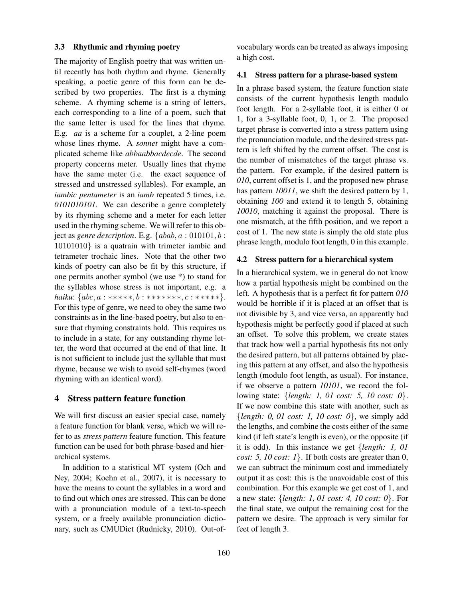#### 3.3 Rhythmic and rhyming poetry

The majority of English poetry that was written until recently has both rhythm and rhyme. Generally speaking, a poetic genre of this form can be described by two properties. The first is a rhyming scheme. A rhyming scheme is a string of letters, each corresponding to a line of a poem, such that the same letter is used for the lines that rhyme. E.g. *aa* is a scheme for a couplet, a 2-line poem whose lines rhyme. A *sonnet* might have a complicated scheme like *abbaabbacdecde*. The second property concerns meter. Usually lines that rhyme have the same meter (i.e. the exact sequence of stressed and unstressed syllables). For example, an *iambic pentameter* is an *iamb* repeated 5 times, i.e. *0101010101*. We can describe a genre completely by its rhyming scheme and a meter for each letter used in the rhyming scheme. We will refer to this object as *genre description*. E.g.  ${abab, a : 010101, b :}$ 10101010} is a quatrain with trimeter iambic and tetrameter trochaic lines. Note that the other two kinds of poetry can also be fit by this structure, if one permits another symbol (we use \*) to stand for the syllables whose stress is not important, e.g. a *haiku*: {*abc*, *a* : \*\*\*\*\*\*, *b* : \*\*\*\*\*\*\*\*, *c* : \*\*\*\*\*\*}. For this type of genre, we need to obey the same two constraints as in the line-based poetry, but also to ensure that rhyming constraints hold. This requires us to include in a state, for any outstanding rhyme letter, the word that occurred at the end of that line. It is not sufficient to include just the syllable that must rhyme, because we wish to avoid self-rhymes (word rhyming with an identical word).

### 4 Stress pattern feature function

We will first discuss an easier special case, namely a feature function for blank verse, which we will refer to as *stress pattern* feature function. This feature function can be used for both phrase-based and hierarchical systems.

In addition to a statistical MT system (Och and Ney, 2004; Koehn et al., 2007), it is necessary to have the means to count the syllables in a word and to find out which ones are stressed. This can be done with a pronunciation module of a text-to-speech system, or a freely available pronunciation dictionary, such as CMUDict (Rudnicky, 2010). Out-ofvocabulary words can be treated as always imposing a high cost.

#### 4.1 Stress pattern for a phrase-based system

In a phrase based system, the feature function state consists of the current hypothesis length modulo foot length. For a 2-syllable foot, it is either 0 or 1, for a 3-syllable foot, 0, 1, or 2. The proposed target phrase is converted into a stress pattern using the pronunciation module, and the desired stress pattern is left shifted by the current offset. The cost is the number of mismatches of the target phrase vs. the pattern. For example, if the desired pattern is *010*, current offset is 1, and the proposed new phrase has pattern *10011*, we shift the desired pattern by 1, obtaining *100* and extend it to length 5, obtaining *10010*, matching it against the proposal. There is one mismatch, at the fifth position, and we report a cost of 1. The new state is simply the old state plus phrase length, modulo foot length, 0 in this example.

#### 4.2 Stress pattern for a hierarchical system

In a hierarchical system, we in general do not know how a partial hypothesis might be combined on the left. A hypothesis that is a perfect fit for pattern *010* would be horrible if it is placed at an offset that is not divisible by 3, and vice versa, an apparently bad hypothesis might be perfectly good if placed at such an offset. To solve this problem, we create states that track how well a partial hypothesis fits not only the desired pattern, but all patterns obtained by placing this pattern at any offset, and also the hypothesis length (modulo foot length, as usual). For instance, if we observe a pattern *10101*, we record the following state: {*length: 1, 01 cost: 5, 10 cost: 0*}. If we now combine this state with another, such as {*length: 0, 01 cost: 1, 10 cost: 0*}, we simply add the lengths, and combine the costs either of the same kind (if left state's length is even), or the opposite (if it is odd). In this instance we get {*length: 1, 01 cost: 5, 10 cost: 1*}. If both costs are greater than 0, we can subtract the minimum cost and immediately output it as cost: this is the unavoidable cost of this combination. For this example we get cost of 1, and a new state: {*length: 1, 01 cost: 4, 10 cost: 0*}. For the final state, we output the remaining cost for the pattern we desire. The approach is very similar for feet of length 3.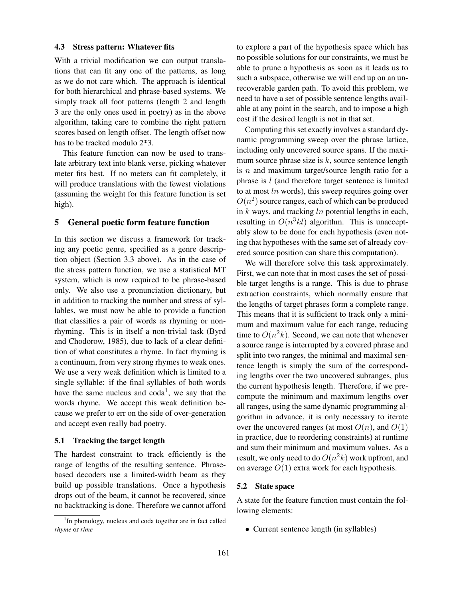#### 4.3 Stress pattern: Whatever fits

With a trivial modification we can output translations that can fit any one of the patterns, as long as we do not care which. The approach is identical for both hierarchical and phrase-based systems. We simply track all foot patterns (length 2 and length 3 are the only ones used in poetry) as in the above algorithm, taking care to combine the right pattern scores based on length offset. The length offset now has to be tracked modulo 2\*3.

This feature function can now be used to translate arbitrary text into blank verse, picking whatever meter fits best. If no meters can fit completely, it will produce translations with the fewest violations (assuming the weight for this feature function is set high).

#### 5 General poetic form feature function

In this section we discuss a framework for tracking any poetic genre, specified as a genre description object (Section 3.3 above). As in the case of the stress pattern function, we use a statistical MT system, which is now required to be phrase-based only. We also use a pronunciation dictionary, but in addition to tracking the number and stress of syllables, we must now be able to provide a function that classifies a pair of words as rhyming or nonrhyming. This is in itself a non-trivial task (Byrd and Chodorow, 1985), due to lack of a clear definition of what constitutes a rhyme. In fact rhyming is a continuum, from very strong rhymes to weak ones. We use a very weak definition which is limited to a single syllable: if the final syllables of both words have the same nucleus and  $\text{cod}a^1$ , we say that the words rhyme. We accept this weak definition because we prefer to err on the side of over-generation and accept even really bad poetry.

### 5.1 Tracking the target length

The hardest constraint to track efficiently is the range of lengths of the resulting sentence. Phrasebased decoders use a limited-width beam as they build up possible translations. Once a hypothesis drops out of the beam, it cannot be recovered, since no backtracking is done. Therefore we cannot afford to explore a part of the hypothesis space which has no possible solutions for our constraints, we must be able to prune a hypothesis as soon as it leads us to such a subspace, otherwise we will end up on an unrecoverable garden path. To avoid this problem, we need to have a set of possible sentence lengths available at any point in the search, and to impose a high cost if the desired length is not in that set.

Computing this set exactly involves a standard dynamic programming sweep over the phrase lattice, including only uncovered source spans. If the maximum source phrase size is  $k$ , source sentence length is  $n$  and maximum target/source length ratio for a phrase is  $l$  (and therefore target sentence is limited to at most  $ln$  words), this sweep requires going over  $O(n^2)$  source ranges, each of which can be produced in  $k$  ways, and tracking  $ln$  potential lengths in each, resulting in  $O(n^3 k l)$  algorithm. This is unacceptably slow to be done for each hypothesis (even noting that hypotheses with the same set of already covered source position can share this computation).

We will therefore solve this task approximately. First, we can note that in most cases the set of possible target lengths is a range. This is due to phrase extraction constraints, which normally ensure that the lengths of target phrases form a complete range. This means that it is sufficient to track only a minimum and maximum value for each range, reducing time to  $O(n^2k)$ . Second, we can note that whenever a source range is interrupted by a covered phrase and split into two ranges, the minimal and maximal sentence length is simply the sum of the corresponding lengths over the two uncovered subranges, plus the current hypothesis length. Therefore, if we precompute the minimum and maximum lengths over all ranges, using the same dynamic programming algorithm in advance, it is only necessary to iterate over the uncovered ranges (at most  $O(n)$ , and  $O(1)$ ) in practice, due to reordering constraints) at runtime and sum their minimum and maximum values. As a result, we only need to do  $O(n^2k)$  work upfront, and on average  $O(1)$  extra work for each hypothesis.

### 5.2 State space

A state for the feature function must contain the following elements:

• Current sentence length (in syllables)

<sup>&</sup>lt;sup>1</sup>In phonology, nucleus and coda together are in fact called *rhyme* or *rime*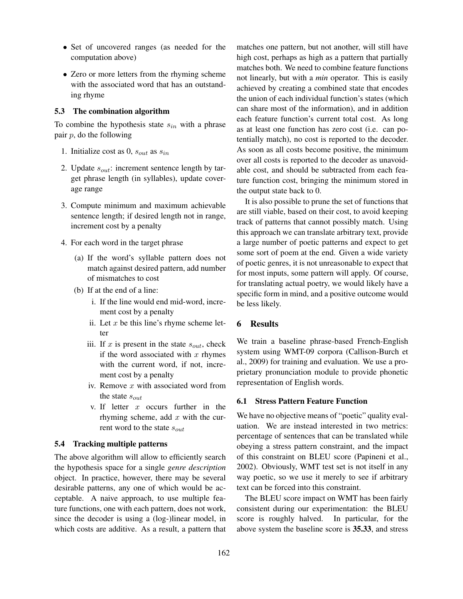- Set of uncovered ranges (as needed for the computation above)
- Zero or more letters from the rhyming scheme with the associated word that has an outstanding rhyme

### 5.3 The combination algorithm

To combine the hypothesis state  $s_{in}$  with a phrase pair  $p$ , do the following

- 1. Initialize cost as  $0$ ,  $s_{out}$  as  $s_{in}$
- 2. Update  $s_{out}$ : increment sentence length by target phrase length (in syllables), update coverage range
- 3. Compute minimum and maximum achievable sentence length; if desired length not in range, increment cost by a penalty
- 4. For each word in the target phrase
	- (a) If the word's syllable pattern does not match against desired pattern, add number of mismatches to cost
	- (b) If at the end of a line:
		- i. If the line would end mid-word, increment cost by a penalty
		- ii. Let  $x$  be this line's rhyme scheme letter
		- iii. If x is present in the state  $s_{out}$ , check if the word associated with  $x$  rhymes with the current word, if not, increment cost by a penalty
		- iv. Remove  $x$  with associated word from the state  $s_{out}$
		- v. If letter  $x$  occurs further in the rhyming scheme, add  $x$  with the current word to the state  $s_{out}$

### 5.4 Tracking multiple patterns

The above algorithm will allow to efficiently search the hypothesis space for a single *genre description* object. In practice, however, there may be several desirable patterns, any one of which would be acceptable. A naive approach, to use multiple feature functions, one with each pattern, does not work, since the decoder is using a (log-)linear model, in which costs are additive. As a result, a pattern that matches one pattern, but not another, will still have high cost, perhaps as high as a pattern that partially matches both. We need to combine feature functions not linearly, but with a *min* operator. This is easily achieved by creating a combined state that encodes the union of each individual function's states (which can share most of the information), and in addition each feature function's current total cost. As long as at least one function has zero cost (i.e. can potentially match), no cost is reported to the decoder. As soon as all costs become positive, the minimum over all costs is reported to the decoder as unavoidable cost, and should be subtracted from each feature function cost, bringing the minimum stored in the output state back to 0.

It is also possible to prune the set of functions that are still viable, based on their cost, to avoid keeping track of patterns that cannot possibly match. Using this approach we can translate arbitrary text, provide a large number of poetic patterns and expect to get some sort of poem at the end. Given a wide variety of poetic genres, it is not unreasonable to expect that for most inputs, some pattern will apply. Of course, for translating actual poetry, we would likely have a specific form in mind, and a positive outcome would be less likely.

# 6 Results

We train a baseline phrase-based French-English system using WMT-09 corpora (Callison-Burch et al., 2009) for training and evaluation. We use a proprietary pronunciation module to provide phonetic representation of English words.

#### 6.1 Stress Pattern Feature Function

We have no objective means of "poetic" quality evaluation. We are instead interested in two metrics: percentage of sentences that can be translated while obeying a stress pattern constraint, and the impact of this constraint on BLEU score (Papineni et al., 2002). Obviously, WMT test set is not itself in any way poetic, so we use it merely to see if arbitrary text can be forced into this constraint.

The BLEU score impact on WMT has been fairly consistent during our experimentation: the BLEU score is roughly halved. In particular, for the above system the baseline score is 35.33, and stress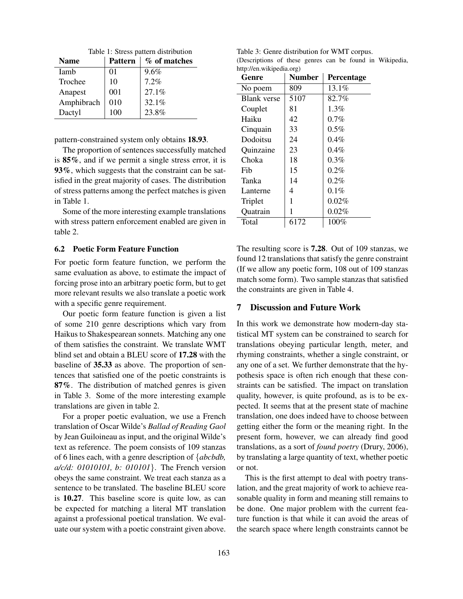Table 1: Stress pattern distribution

| <b>Name</b> | Pattern | $\%$ of matches |
|-------------|---------|-----------------|
| Iamb        | 01      | 9.6%            |
| Trochee     | 10      | 7.2%            |
| Anapest     | 001     | 27.1%           |
| Amphibrach  | 010     | 32.1%           |
| Dactyl      | 100     | 23.8%           |

pattern-constrained system only obtains 18.93.

The proportion of sentences successfully matched is 85%, and if we permit a single stress error, it is 93%, which suggests that the constraint can be satisfied in the great majority of cases. The distribution of stress patterns among the perfect matches is given in Table 1.

Some of the more interesting example translations with stress pattern enforcement enabled are given in table 2.

### 6.2 Poetic Form Feature Function

For poetic form feature function, we perform the same evaluation as above, to estimate the impact of forcing prose into an arbitrary poetic form, but to get more relevant results we also translate a poetic work with a specific genre requirement.

Our poetic form feature function is given a list of some 210 genre descriptions which vary from Haikus to Shakespearean sonnets. Matching any one of them satisfies the constraint. We translate WMT blind set and obtain a BLEU score of 17.28 with the baseline of 35.33 as above. The proportion of sentences that satisfied one of the poetic constraints is 87%. The distribution of matched genres is given in Table 3. Some of the more interesting example translations are given in table 2.

For a proper poetic evaluation, we use a French translation of Oscar Wilde's *Ballad of Reading Gaol* by Jean Guiloineau as input, and the original Wilde's text as reference. The poem consists of 109 stanzas of 6 lines each, with a genre description of {*abcbdb, a/c/d: 01010101, b: 010101*}. The French version obeys the same constraint. We treat each stanza as a sentence to be translated. The baseline BLEU score is 10.27. This baseline score is quite low, as can be expected for matching a literal MT translation against a professional poetical translation. We evaluate our system with a poetic constraint given above.

Table 3: Genre distribution for WMT corpus. (Descriptions of these genres can be found in Wikipedia, http://en.wikipedia.org)

| Genre              | <b>Number</b> | Percentage |
|--------------------|---------------|------------|
| No poem            | 809           | 13.1%      |
| <b>Blank</b> verse | 5107          | 82.7%      |
| Couplet            | 81            | $1.3\%$    |
| Haiku              | 42            | 0.7%       |
| Cinquain           | 33            | $0.5\%$    |
| Dodoitsu           | 24            | 0.4%       |
| Quinzaine          | 23            | $0.4\%$    |
| Choka              | 18            | $0.3\%$    |
| Fib                | 15            | 0.2%       |
| Tanka              | 14            | $0.2\%$    |
| Lanterne           | 4             | 0.1%       |
| Triplet            | 1             | $0.02\%$   |
| Quatrain           | 1             | 0.02%      |
| Total              | 6172          | 100%       |
|                    |               |            |

The resulting score is 7.28. Out of 109 stanzas, we found 12 translations that satisfy the genre constraint (If we allow any poetic form, 108 out of 109 stanzas match some form). Two sample stanzas that satisfied the constraints are given in Table 4.

## 7 Discussion and Future Work

In this work we demonstrate how modern-day statistical MT system can be constrained to search for translations obeying particular length, meter, and rhyming constraints, whether a single constraint, or any one of a set. We further demonstrate that the hypothesis space is often rich enough that these constraints can be satisfied. The impact on translation quality, however, is quite profound, as is to be expected. It seems that at the present state of machine translation, one does indeed have to choose between getting either the form or the meaning right. In the present form, however, we can already find good translations, as a sort of *found poetry* (Drury, 2006), by translating a large quantity of text, whether poetic or not.

This is the first attempt to deal with poetry translation, and the great majority of work to achieve reasonable quality in form and meaning still remains to be done. One major problem with the current feature function is that while it can avoid the areas of the search space where length constraints cannot be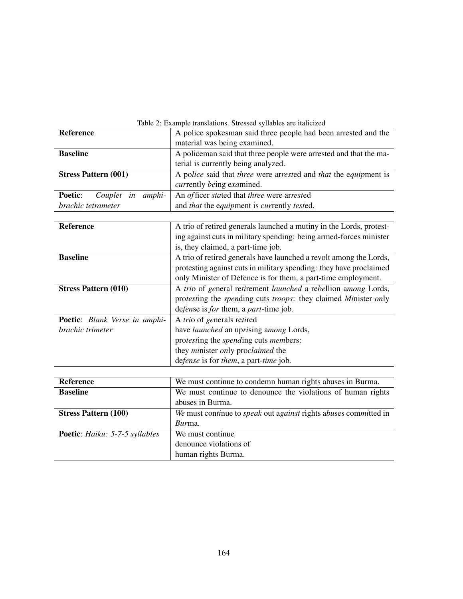| Table 2: Example translations. Stressed syllables are italicized |                                                                     |  |
|------------------------------------------------------------------|---------------------------------------------------------------------|--|
| Reference                                                        | A police spokesman said three people had been arrested and the      |  |
|                                                                  | material was being examined.                                        |  |
| <b>Baseline</b>                                                  | A policeman said that three people were arrested and that the ma-   |  |
|                                                                  | terial is currently being analyzed.                                 |  |
| <b>Stress Pattern (001)</b>                                      | A police said that three were arrested and that the equipment is    |  |
|                                                                  | currently being examined.                                           |  |
| Poetic:<br>amphi-<br>Couplet in                                  | An officer stated that three were arrested                          |  |
| brachic tetrameter                                               | and that the equipment is currently tested.                         |  |
|                                                                  |                                                                     |  |
| Reference                                                        | A trio of retired generals launched a mutiny in the Lords, protest- |  |
|                                                                  | ing against cuts in military spending: being armed-forces minister  |  |
|                                                                  | is, they claimed, a part-time job.                                  |  |
| <b>Baseline</b>                                                  | A trio of retired generals have launched a revolt among the Lords,  |  |
|                                                                  | protesting against cuts in military spending: they have proclaimed  |  |
|                                                                  | only Minister of Defence is for them, a part-time employment.       |  |
| <b>Stress Pattern (010)</b>                                      | A trio of general retirement launched a rebellion among Lords,      |  |
|                                                                  | protesting the spending cuts troops: they claimed Minister only     |  |
|                                                                  | defense is for them, a part-time job.                               |  |
| Poetic: Blank Verse in amphi-                                    | A trio of generals retired                                          |  |
| brachic trimeter                                                 | have launched an uprising among Lords,                              |  |
|                                                                  | protesting the spending cuts members:                               |  |
|                                                                  | they minister only proclaimed the                                   |  |
|                                                                  | defense is for them, a part-time job.                               |  |
|                                                                  |                                                                     |  |
| <b>Reference</b>                                                 | We must continue to condemn human rights abuses in Burma.           |  |
| <b>Baseline</b>                                                  | We must continue to denounce the violations of human rights         |  |
|                                                                  | abuses in Burma.                                                    |  |
| <b>Stress Pattern (100)</b>                                      | We must continue to speak out against rights abuses committed in    |  |
|                                                                  | Burma.                                                              |  |
| Poetic: Haiku: 5-7-5 syllables                                   | We must continue                                                    |  |
|                                                                  | denounce violations of                                              |  |
|                                                                  | human rights Burma.                                                 |  |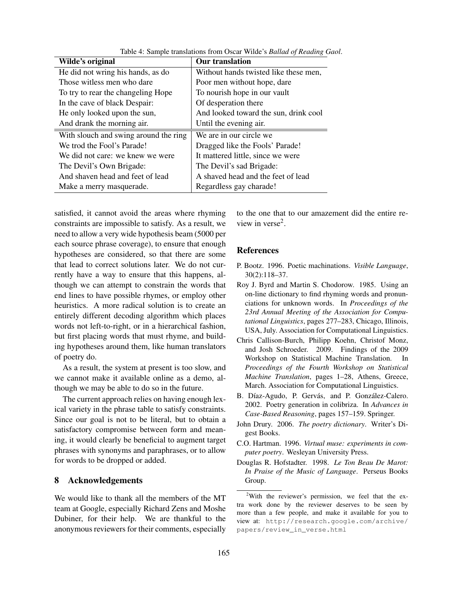| Wilde's original                      | <b>Our translation</b>                |
|---------------------------------------|---------------------------------------|
| He did not wring his hands, as do     | Without hands twisted like these men, |
| Those witless men who dare            | Poor men without hope, dare           |
| To try to rear the changeling Hope    | To nourish hope in our vault          |
| In the cave of black Despair:         | Of desperation there                  |
| He only looked upon the sun,          | And looked toward the sun, drink cool |
| And drank the morning air.            | Until the evening air.                |
| With slouch and swing around the ring | We are in our circle we               |
| We trod the Fool's Parade!            | Dragged like the Fools' Parade!       |
| We did not care: we knew we were      | It mattered little, since we were     |
| The Devil's Own Brigade:              | The Devil's sad Brigade:              |
| And shaven head and feet of lead      | A shaved head and the feet of lead    |
| Make a merry masquerade.              | Regardless gay charade!               |

Table 4: Sample translations from Oscar Wilde's *Ballad of Reading Gaol*.

satisfied, it cannot avoid the areas where rhyming constraints are impossible to satisfy. As a result, we need to allow a very wide hypothesis beam (5000 per each source phrase coverage), to ensure that enough hypotheses are considered, so that there are some that lead to correct solutions later. We do not currently have a way to ensure that this happens, although we can attempt to constrain the words that end lines to have possible rhymes, or employ other heuristics. A more radical solution is to create an entirely different decoding algorithm which places words not left-to-right, or in a hierarchical fashion, but first placing words that must rhyme, and building hypotheses around them, like human translators of poetry do.

As a result, the system at present is too slow, and we cannot make it available online as a demo, although we may be able to do so in the future.

The current approach relies on having enough lexical variety in the phrase table to satisfy constraints. Since our goal is not to be literal, but to obtain a satisfactory compromise between form and meaning, it would clearly be beneficial to augment target phrases with synonyms and paraphrases, or to allow for words to be dropped or added.

### 8 Acknowledgements

We would like to thank all the members of the MT team at Google, especially Richard Zens and Moshe Dubiner, for their help. We are thankful to the anonymous reviewers for their comments, especially

to the one that to our amazement did the entire review in verse<sup>2</sup>.

#### References

- P. Bootz. 1996. Poetic machinations. *Visible Language*, 30(2):118–37.
- Roy J. Byrd and Martin S. Chodorow. 1985. Using an on-line dictionary to find rhyming words and pronunciations for unknown words. In *Proceedings of the 23rd Annual Meeting of the Association for Computational Linguistics*, pages 277–283, Chicago, Illinois, USA, July. Association for Computational Linguistics.
- Chris Callison-Burch, Philipp Koehn, Christof Monz, and Josh Schroeder. 2009. Findings of the 2009 Workshop on Statistical Machine Translation. In *Proceedings of the Fourth Workshop on Statistical Machine Translation*, pages 1–28, Athens, Greece, March. Association for Computational Linguistics.
- B. Díaz-Agudo, P. Gervás, and P. González-Calero. 2002. Poetry generation in colibriza. In *Advances in Case-Based Reasoning*, pages 157–159. Springer.
- John Drury. 2006. *The poetry dictionary*. Writer's Digest Books.
- C.O. Hartman. 1996. *Virtual muse: experiments in computer poetry*. Wesleyan University Press.
- Douglas R. Hofstadter. 1998. *Le Ton Beau De Marot: In Praise of the Music of Language*. Perseus Books Group.

<sup>&</sup>lt;sup>2</sup>With the reviewer's permission, we feel that the extra work done by the reviewer deserves to be seen by more than a few people, and make it available for you to view at: http://research.google.com/archive/ papers/review\_in\_verse.html